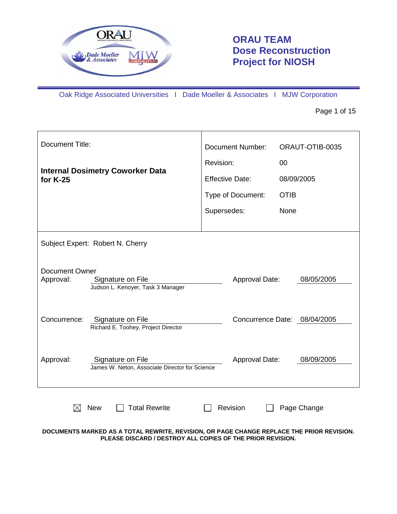

# **ORAU TEAM Dose Reconstruction Project for NIOSH**

Oak Ridge Associated Universities I Dade Moeller & Associates I MJW Corporation

Page 1 of 15

| <b>Document Title:</b>                                                                       | <b>Document Number:</b><br>ORAUT-OTIB-0035 |
|----------------------------------------------------------------------------------------------|--------------------------------------------|
| <b>Internal Dosimetry Coworker Data</b>                                                      | Revision:<br>00                            |
| for K-25                                                                                     | <b>Effective Date:</b><br>08/09/2005       |
|                                                                                              | Type of Document:<br><b>OTIB</b>           |
|                                                                                              | Supersedes:<br>None                        |
|                                                                                              |                                            |
| Subject Expert: Robert N. Cherry                                                             |                                            |
| <b>Document Owner</b><br>Signature on File<br>Approval:<br>Judson L. Kenoyer, Task 3 Manager | Approval Date:<br>08/05/2005               |
| Concurrence:<br>Signature on File<br>Richard E. Toohey, Project Director                     | Concurrence Date: 08/04/2005               |
| Approval:<br>Signature on File<br>James W. Neton, Associate Director for Science             | 08/09/2005<br>Approval Date:               |
| <b>Total Rewrite</b><br><b>New</b>                                                           | Revision<br>Page Change                    |

**DOCUMENTS MARKED AS A TOTAL REWRITE, REVISION, OR PAGE CHANGE REPLACE THE PRIOR REVISION. PLEASE DISCARD / DESTROY ALL COPIES OF THE PRIOR REVISION.**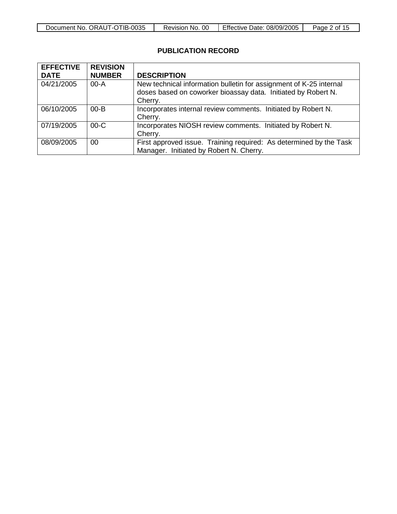| ਾ।B-ਹ<br><b>ORAUT</b><br>0035<br>No.<br>Document<br>- -<br>ີ | OC<br>No.<br>Revision, | Effective<br>08/09/2005<br>Date: | Ωt<br>Page<br>. |
|--------------------------------------------------------------|------------------------|----------------------------------|-----------------|

# **PUBLICATION RECORD**

| <b>EFFECTIVE</b><br><b>DATE</b> | <b>REVISION</b><br><b>NUMBER</b> | <b>DESCRIPTION</b>                                                                                                                             |
|---------------------------------|----------------------------------|------------------------------------------------------------------------------------------------------------------------------------------------|
| 04/21/2005                      | $00-A$                           | New technical information bulletin for assignment of K-25 internal<br>doses based on coworker bioassay data. Initiated by Robert N.<br>Cherry. |
| 06/10/2005                      | $00 - B$                         | Incorporates internal review comments. Initiated by Robert N.<br>Cherry.                                                                       |
| 07/19/2005                      | $00-C$                           | Incorporates NIOSH review comments. Initiated by Robert N.<br>Cherry.                                                                          |
| 08/09/2005                      | 00                               | First approved issue. Training required: As determined by the Task<br>Manager. Initiated by Robert N. Cherry.                                  |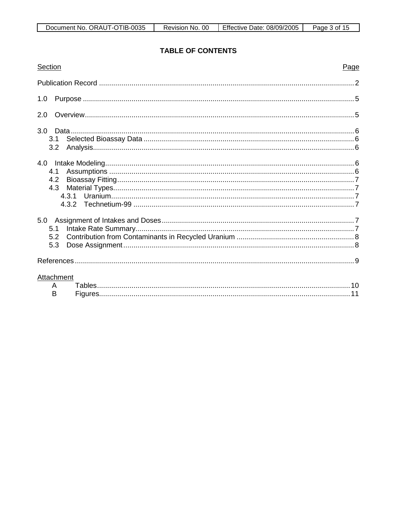# **TABLE OF CONTENTS**

| Section                     | Page |
|-----------------------------|------|
|                             |      |
| 1.0                         |      |
| 2.0                         |      |
| 3.1<br>3.2                  |      |
| 4.0<br>4.1<br>4.2<br>4.3    |      |
| 5.1<br>5.3                  |      |
|                             |      |
| <b>Attachment</b><br>A<br>B |      |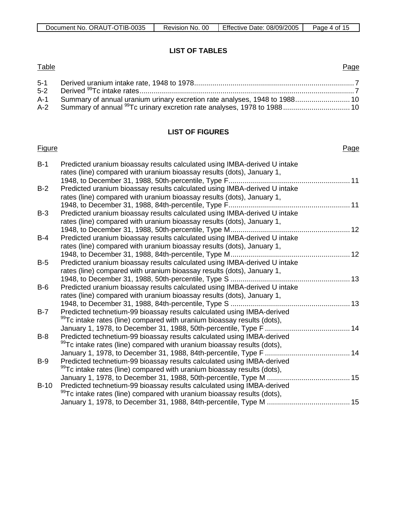| Document No. ORAUT-OTIB-0035 | Revision No. 00 | <b>Effective Date: 08/09/2005</b> | Page 4 of 15 |
|------------------------------|-----------------|-----------------------------------|--------------|
|------------------------------|-----------------|-----------------------------------|--------------|

#### **LIST OF TABLES**

#### **Table** 5-1 Derived uranium intake rate, 1948 to 1978............................................................................... 7 Page 5-2 Derived 99Tc intake rates..........................................................................................................7 A-1 Summary of annual uranium urinary excretion rate analyses, 1948 to 1988........................... 10 A-2 Summary of annual <sup>99</sup>Tc urinary excretion rate analyses, 1978 to 1988................................ 10

### **LIST OF FIGURES**

#### **Figure**

#### Page

| $B-1$  | Predicted uranium bioassay results calculated using IMBA-derived U intake<br>rates (line) compared with uranium bioassay results (dots), January 1, |  |
|--------|-----------------------------------------------------------------------------------------------------------------------------------------------------|--|
|        |                                                                                                                                                     |  |
| $B-2$  | Predicted uranium bioassay results calculated using IMBA-derived U intake                                                                           |  |
|        | rates (line) compared with uranium bioassay results (dots), January 1,                                                                              |  |
|        |                                                                                                                                                     |  |
| $B-3$  | Predicted uranium bioassay results calculated using IMBA-derived U intake                                                                           |  |
|        | rates (line) compared with uranium bioassay results (dots), January 1,                                                                              |  |
|        |                                                                                                                                                     |  |
| $B-4$  | Predicted uranium bioassay results calculated using IMBA-derived U intake                                                                           |  |
|        | rates (line) compared with uranium bioassay results (dots), January 1,                                                                              |  |
|        |                                                                                                                                                     |  |
| $B-5$  | Predicted uranium bioassay results calculated using IMBA-derived U intake                                                                           |  |
|        | rates (line) compared with uranium bioassay results (dots), January 1,                                                                              |  |
|        |                                                                                                                                                     |  |
| $B-6$  | Predicted uranium bioassay results calculated using IMBA-derived U intake                                                                           |  |
|        | rates (line) compared with uranium bioassay results (dots), January 1,                                                                              |  |
|        |                                                                                                                                                     |  |
| $B-7$  | Predicted technetium-99 bioassay results calculated using IMBA-derived                                                                              |  |
|        | <sup>99</sup> Tc intake rates (line) compared with uranium bioassay results (dots),                                                                 |  |
|        |                                                                                                                                                     |  |
| $B-8$  | Predicted technetium-99 bioassay results calculated using IMBA-derived                                                                              |  |
|        | <sup>99</sup> Tc intake rates (line) compared with uranium bioassay results (dots),                                                                 |  |
|        |                                                                                                                                                     |  |
| $B-9$  | Predicted technetium-99 bioassay results calculated using IMBA-derived                                                                              |  |
|        | <sup>99</sup> Tc intake rates (line) compared with uranium bioassay results (dots),                                                                 |  |
|        |                                                                                                                                                     |  |
| $B-10$ | Predicted technetium-99 bioassay results calculated using IMBA-derived                                                                              |  |
|        | <sup>99</sup> Tc intake rates (line) compared with uranium bioassay results (dots),                                                                 |  |
|        |                                                                                                                                                     |  |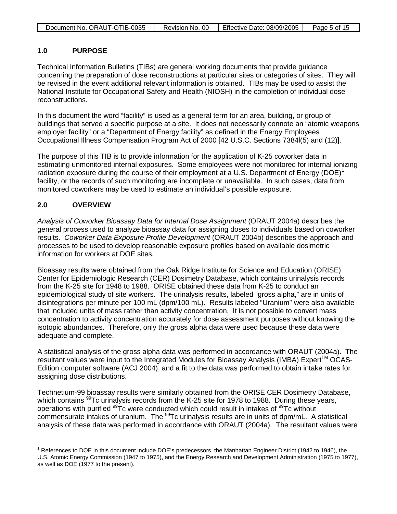| Document No. ORAUT-OTIB-0035 | Revision No. 00 | Effective Date: 08/09/2005 | Page 5 of 15 |
|------------------------------|-----------------|----------------------------|--------------|
|                              |                 |                            |              |

#### **1.0 PURPOSE**

Technical Information Bulletins (TIBs) are general working documents that provide guidance concerning the preparation of dose reconstructions at particular sites or categories of sites. They will be revised in the event additional relevant information is obtained. TIBs may be used to assist the National Institute for Occupational Safety and Health (NIOSH) in the completion of individual dose reconstructions.

In this document the word "facility" is used as a general term for an area, building, or group of buildings that served a specific purpose at a site. It does not necessarily connote an "atomic weapons employer facility" or a "Department of Energy facility" as defined in the Energy Employees Occupational Illness Compensation Program Act of 2000 [42 U.S.C. Sections 7384l(5) and (12)].

The purpose of this TIB is to provide information for the application of K-25 coworker data in estimating unmonitored internal exposures. Some employees were not monitored for internal ionizing radiation exposure during the course of their employment at a U.S. Department of Energy (DOE)<sup>[1](#page-4-0)</sup> facility, or the records of such monitoring are incomplete or unavailable. In such cases, data from monitored coworkers may be used to estimate an individual's possible exposure.

### **2.0 OVERVIEW**

*Analysis of Coworker Bioassay Data for Internal Dose Assignment* (ORAUT 2004a) describes the general process used to analyze bioassay data for assigning doses to individuals based on coworker results. *Coworker Data Exposure Profile Development* (ORAUT 2004b) describes the approach and processes to be used to develop reasonable exposure profiles based on available dosimetric information for workers at DOE sites.

Bioassay results were obtained from the Oak Ridge Institute for Science and Education (ORISE) Center for Epidemiologic Research (CER) Dosimetry Database, which contains urinalysis records from the K-25 site for 1948 to 1988. ORISE obtained these data from K-25 to conduct an epidemiological study of site workers. The urinalysis results, labeled "gross alpha," are in units of disintegrations per minute per 100 mL (dpm/100 mL). Results labeled "Uranium" were also available that included units of mass rather than activity concentration. It is not possible to convert mass concentration to activity concentration accurately for dose assessment purposes without knowing the isotopic abundances. Therefore, only the gross alpha data were used because these data were adequate and complete.

A statistical analysis of the gross alpha data was performed in accordance with ORAUT (2004a). The resultant values were input to the Integrated Modules for Bioassay Analysis (IMBA) Expert™ OCAS-Edition computer software (ACJ 2004), and a fit to the data was performed to obtain intake rates for assigning dose distributions.

Technetium-99 bioassay results were similarly obtained from the ORISE CER Dosimetry Database, which contains <sup>99</sup>Tc urinalysis records from the K-25 site for 1978 to 1988. During these years, operations with purified <sup>99</sup>Tc were conducted which could result in intakes of <sup>99</sup>Tc without commensurate intakes of uranium. The <sup>99</sup>Tc urinalysis results are in units of dpm/mL. A statistical analysis of these data was performed in accordance with ORAUT (2004a). The resultant values were

<span id="page-4-0"></span> $\overline{a}$  $1$  References to DOE in this document include DOE's predecessors, the Manhattan Engineer District (1942 to 1946), the U.S. Atomic Energy Commission (1947 to 1975), and the Energy Research and Development Administration (1975 to 1977), as well as DOE (1977 to the present).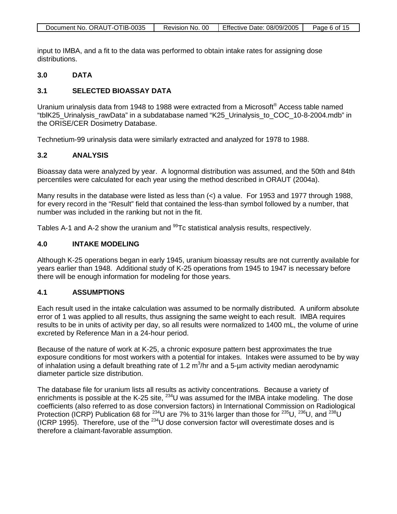| Document No. ORAUT-OTIB-0035 | Revision No. 00 | Effective Date: 08/09/2005 | Page 6 of 15 |
|------------------------------|-----------------|----------------------------|--------------|

input to IMBA, and a fit to the data was performed to obtain intake rates for assigning dose distributions.

#### **3.0 DATA**

### **3.1 SELECTED BIOASSAY DATA**

Uranium urinalysis data from 1948 to 1988 were extracted from a Microsoft® Access table named "tblK25\_Urinalysis\_rawData" in a subdatabase named "K25\_Urinalysis\_to\_COC\_10-8-2004.mdb" in the ORISE/CER Dosimetry Database.

Technetium-99 urinalysis data were similarly extracted and analyzed for 1978 to 1988.

### **3.2 ANALYSIS**

Bioassay data were analyzed by year. A lognormal distribution was assumed, and the 50th and 84th percentiles were calculated for each year using the method described in ORAUT (2004a).

Many results in the database were listed as less than  $\left\langle \cdot \right\rangle$  a value. For 1953 and 1977 through 1988, for every record in the "Result" field that contained the less-than symbol followed by a number, that number was included in the ranking but not in the fit.

Tables A-1 and A-2 show the uranium and <sup>99</sup>Tc statistical analysis results, respectively.

#### **4.0 INTAKE MODELING**

Although K-25 operations began in early 1945, uranium bioassay results are not currently available for years earlier than 1948. Additional study of K-25 operations from 1945 to 1947 is necessary before there will be enough information for modeling for those years.

### **4.1 ASSUMPTIONS**

Each result used in the intake calculation was assumed to be normally distributed. A uniform absolute error of 1 was applied to all results, thus assigning the same weight to each result. IMBA requires results to be in units of activity per day, so all results were normalized to 1400 mL, the volume of urine excreted by Reference Man in a 24-hour period.

Because of the nature of work at K-25, a chronic exposure pattern best approximates the true exposure conditions for most workers with a potential for intakes. Intakes were assumed to be by way of inhalation using a default breathing rate of 1.2  $\text{m}^3$ /hr and a 5-µm activity median aerodynamic diameter particle size distribution.

The database file for uranium lists all results as activity concentrations. Because a variety of enrichments is possible at the K-25 site, <sup>234</sup>U was assumed for the IMBA intake modeling. The dose coefficients (also referred to as dose conversion factors) in International Commission on Radiological Protection (ICRP) Publication 68 for <sup>234</sup>U are 7% to 31% larger than those for <sup>235</sup>U, <sup>236</sup>U, and <sup>238</sup>U (ICRP 1995). Therefore, use of the  $^{234}$ U dose conversion factor will overestimate doses and is therefore a claimant-favorable assumption.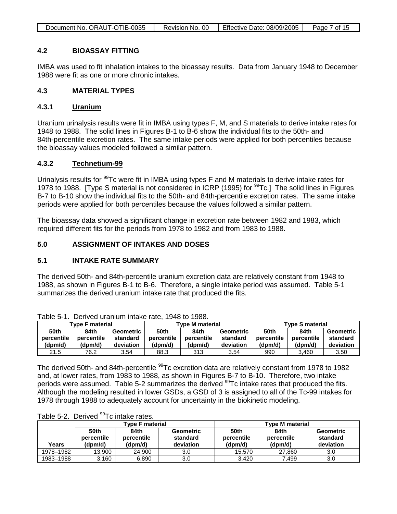| Document No. ORAUT-OTIB-0035 | Revision No. 00 | Effective Date: 08/09/2005 | Page 7 of 15 |
|------------------------------|-----------------|----------------------------|--------------|

#### **4.2 BIOASSAY FITTING**

IMBA was used to fit inhalation intakes to the bioassay results. Data from January 1948 to December 1988 were fit as one or more chronic intakes.

#### **4.3 MATERIAL TYPES**

#### **4.3.1 Uranium**

Uranium urinalysis results were fit in IMBA using types F, M, and S materials to derive intake rates for 1948 to 1988. The solid lines in Figures B-1 to B-6 show the individual fits to the 50th- and 84th-percentile excretion rates. The same intake periods were applied for both percentiles because the bioassay values modeled followed a similar pattern.

#### **4.3.2 Technetium-99**

Urinalysis results for <sup>99</sup>Tc were fit in IMBA using types F and M materials to derive intake rates for 1978 to 1988. [Type S material is not considered in ICRP (1995) for <sup>99</sup>Tc.] The solid lines in Figures B-7 to B-10 show the individual fits to the 50th- and 84th-percentile excretion rates. The same intake periods were applied for both percentiles because the values followed a similar pattern.

The bioassay data showed a significant change in excretion rate between 1982 and 1983, which required different fits for the periods from 1978 to 1982 and from 1983 to 1988.

### **5.0 ASSIGNMENT OF INTAKES AND DOSES**

#### **5.1 INTAKE RATE SUMMARY**

The derived 50th- and 84th-percentile uranium excretion data are relatively constant from 1948 to 1988, as shown in Figures B-1 to B-6. Therefore, a single intake period was assumed. Table 5-1 summarizes the derived uranium intake rate that produced the fits.

| Tvpe F material |            | <b>Type M material</b> |             |            | <b>Type S material</b> |            |            |           |  |
|-----------------|------------|------------------------|-------------|------------|------------------------|------------|------------|-----------|--|
| 50th            | 84th       | Geometric              | <b>50th</b> | 84th       | <b>Geometric</b>       | 50th       | 84th       | Geometric |  |
| percentile      | percentile | standard               | percentile  | percentile | standard               | percentile | percentile | standard  |  |
| (dpm/d)         | (dpm/d)    | deviation              | (dpm/d)     | (dpm/d)    | deviation              | (dpm/d)    | (dpm/d)    | deviation |  |
| 21.5            | 76.2       | 3.54                   | 88.3        | 313        | 3.54                   | 990        | 3.460      | 3.50      |  |

Table 5-1. Derived uranium intake rate, 1948 to 1988.

The derived 50th- and 84th-percentile <sup>99</sup>Tc excretion data are relatively constant from 1978 to 1982 and, at lower rates, from 1983 to 1988, as shown in Figures B-7 to B-10. Therefore, two intake periods were assumed. Table 5-2 summarizes the derived <sup>99</sup>Tc intake rates that produced the fits. Although the modeling resulted in lower GSDs, a GSD of 3 is assigned to all of the Tc-99 intakes for 1978 through 1988 to adequately account for uncertainty in the biokinetic modeling.

|           |                               | Type F material               |                                           | <b>Type M material</b>        |                               |                                    |  |
|-----------|-------------------------------|-------------------------------|-------------------------------------------|-------------------------------|-------------------------------|------------------------------------|--|
| Years     | 50th<br>percentile<br>(dpm/d) | 84th<br>percentile<br>(dpm/d) | <b>Geometric</b><br>standard<br>deviation | 50th<br>percentile<br>(dpm/d) | 84th<br>percentile<br>(dpm/d) | Geometric<br>standard<br>deviation |  |
| 1978-1982 | 13.900                        | 24.900                        | 3.0                                       | 15.570                        | 27.860                        | 3.0                                |  |
| 1983-1988 | 3,160                         | 6.890                         | 3.0                                       | 3.420                         | 7.499                         | 3.0                                |  |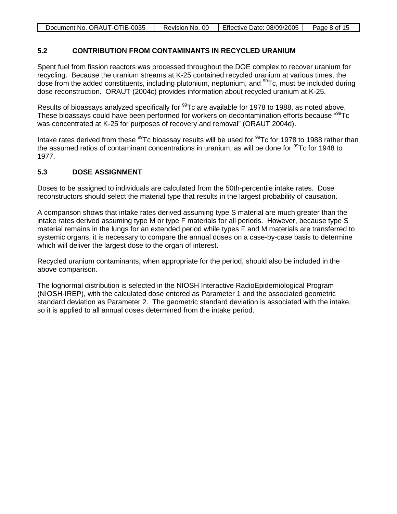| Document No. ORAUT-OTIB-0035 | Revision No. 00 | Effective Date: 08/09/2005 | Page 8 of 15 |
|------------------------------|-----------------|----------------------------|--------------|

#### **5.2 CONTRIBUTION FROM CONTAMINANTS IN RECYCLED URANIUM**

Spent fuel from fission reactors was processed throughout the DOE complex to recover uranium for recycling. Because the uranium streams at K-25 contained recycled uranium at various times, the dose from the added constituents, including plutonium, neptunium, and  $^{99}$ Tc, must be included during dose reconstruction. ORAUT (2004c) provides information about recycled uranium at K-25.

Results of bioassays analyzed specifically for <sup>99</sup>Tc are available for 1978 to 1988, as noted above. These bioassays could have been performed for workers on decontamination efforts because "<sup>99</sup>Tc was concentrated at K-25 for purposes of recovery and removal" (ORAUT 2004d).

Intake rates derived from these <sup>99</sup>Tc bioassay results will be used for <sup>99</sup>Tc for 1978 to 1988 rather than the assumed ratios of contaminant concentrations in uranium, as will be done for  $^{99}$ Tc for 1948 to 1977.

#### **5.3 DOSE ASSIGNMENT**

Doses to be assigned to individuals are calculated from the 50th-percentile intake rates. Dose reconstructors should select the material type that results in the largest probability of causation.

A comparison shows that intake rates derived assuming type S material are much greater than the intake rates derived assuming type M or type F materials for all periods. However, because type S material remains in the lungs for an extended period while types F and M materials are transferred to systemic organs, it is necessary to compare the annual doses on a case-by-case basis to determine which will deliver the largest dose to the organ of interest.

Recycled uranium contaminants, when appropriate for the period, should also be included in the above comparison.

The lognormal distribution is selected in the NIOSH Interactive RadioEpidemiological Program (NIOSH-IREP), with the calculated dose entered as Parameter 1 and the associated geometric standard deviation as Parameter 2. The geometric standard deviation is associated with the intake, so it is applied to all annual doses determined from the intake period.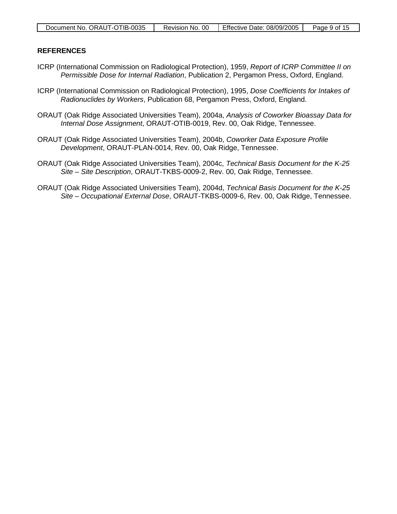#### **REFERENCES**

- ICRP (International Commission on Radiological Protection), 1959, *Report of ICRP Committee II on Permissible Dose for Internal Radiation*, Publication 2, Pergamon Press, Oxford, England.
- ICRP (International Commission on Radiological Protection), 1995, *Dose Coefficients for Intakes of Radionuclides by Workers*, Publication 68, Pergamon Press, Oxford, England.
- ORAUT (Oak Ridge Associated Universities Team), 2004a, *Analysis of Coworker Bioassay Data for Internal Dose Assignment*, ORAUT-OTIB-0019, Rev. 00, Oak Ridge, Tennessee.
- ORAUT (Oak Ridge Associated Universities Team), 2004b, *Coworker Data Exposure Profile Development*, ORAUT-PLAN-0014, Rev. 00, Oak Ridge, Tennessee.
- ORAUT (Oak Ridge Associated Universities Team), 2004c, *Technical Basis Document for the K-25 Site – Site Description*, ORAUT-TKBS-0009-2, Rev. 00, Oak Ridge, Tennessee.
- ORAUT (Oak Ridge Associated Universities Team), 2004d, *Technical Basis Document for the K-25 Site – Occupational External Dose*, ORAUT-TKBS-0009-6, Rev. 00, Oak Ridge, Tennessee.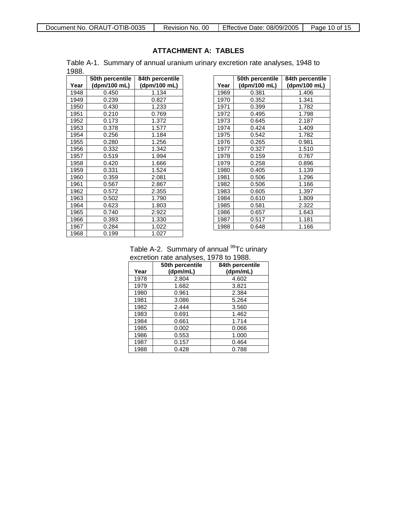## **ATTACHMENT A: TABLES**

Table A-1. Summary of annual uranium urinary excretion rate analyses, 1948 to 1988.

|      | 50th percentile | 84th percentile |
|------|-----------------|-----------------|
| Year | (dpm/100 mL)    | (dpm/100 mL)    |
| 1948 | 0.450           | 1.134           |
| 1949 | 0.239           | 0.827           |
| 1950 | 0.430           | 1.233           |
| 1951 | 0.210           | 0.769           |
| 1952 | 0.173           | 1.372           |
| 1953 | 0.378           | 1.577           |
| 1954 | 0.256           | 1.184           |
| 1955 | 0.280           | 1.256           |
| 1956 | 0.332           | 1.342           |
| 1957 | 0.519           | 1.994           |
| 1958 | 0.420           | 1.666           |
| 1959 | 0.331           | 1.524           |
| 1960 | 0.359           | 2.081           |
| 1961 | 0.567           | 2.867           |
| 1962 | 0.572           | 2.355           |
| 1963 | 0.502           | 1.790           |
| 1964 | 0.623           | 1.803           |
| 1965 | 0.740           | 2.922           |
| 1966 | 0.393           | 1.330           |
| 1967 | 0.284           | 1.022           |
| 1968 | 0.199           | 1.027           |

<span id="page-9-0"></span>

|      | 50th percentile | 84th percentile |
|------|-----------------|-----------------|
| Year | (dpm/100 mL)    | (dpm/100 mL)    |
| 1969 | 0.381           | 1.406           |
| 1970 | 0.352           | 1.341           |
| 1971 | 0.399           | 1.782           |
| 1972 | 0.495           | 1.798           |
| 1973 | 0.645           | 2.187           |
| 1974 | 0.424           | 1.409           |
| 1975 | 0.542           | 1.782           |
| 1976 | 0.265           | 0.981           |
| 1977 | 0.327           | 1.510           |
| 1978 | 0.159           | 0.767           |
| 1979 | 0.258           | 0.896           |
| 1980 | 0.405           | 1.139           |
| 1981 | 0.506           | 1.296           |
| 1982 | 0.506           | 1.166           |
| 1983 | 0.605           | 1.397           |
| 1984 | 0.610           | 1.809           |
| 1985 | 0.581           | 2.322           |
| 1986 | 0.657           | 1.643           |
| 1987 | 0.517           | 1.181           |
| 1988 | 0.648           | 1.166           |

#### Table A-2. Summary of annual <sup>99</sup>Tc urinary excretion rate analyses, 1978 to 1988.

|      | 50th percentile | 84th percentile |
|------|-----------------|-----------------|
| Year | (dpm/mL)        | (dpm/mL)        |
| 1978 | 2.804           | 4.602           |
| 1979 | 1.682           | 3.821           |
| 1980 | 0.961           | 2.384           |
| 1981 | 3.086           | 5.264           |
| 1982 | 2.444           | 3.560           |
| 1983 | 0.691           | 1.462           |
| 1984 | 0.661           | 1.714           |
| 1985 | 0.002           | 0.066           |
| 1986 | 0.553           | 1.000           |
| 1987 | 0.157           | 0.464           |
| 1988 | 0.428           | 0.788           |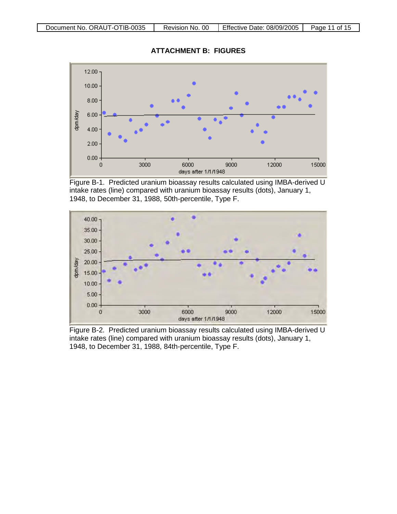

Figure B-1. Predicted uranium bioassay results calculated using IMBA-derived U intake rates (line) compared with uranium bioassay results (dots), January 1, 1948, to December 31, 1988, 50th-percentile, Type F.



Figure B-2. Predicted uranium bioassay results calculated using IMBA-derived U intake rates (line) compared with uranium bioassay results (dots), January 1, 1948, to December 31, 1988, 84th-percentile, Type F.

<span id="page-10-0"></span>**ATTACHMENT B: FIGURES**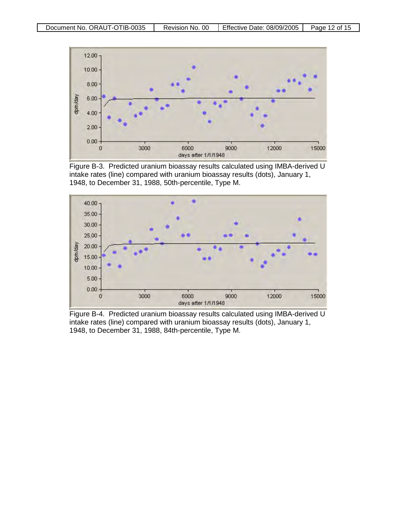

Figure B-3. Predicted uranium bioassay results calculated using IMBA-derived U intake rates (line) compared with uranium bioassay results (dots), January 1, 1948, to December 31, 1988, 50th-percentile, Type M.



Figure B-4. Predicted uranium bioassay results calculated using IMBA-derived U intake rates (line) compared with uranium bioassay results (dots), January 1, 1948, to December 31, 1988, 84th-percentile, Type M.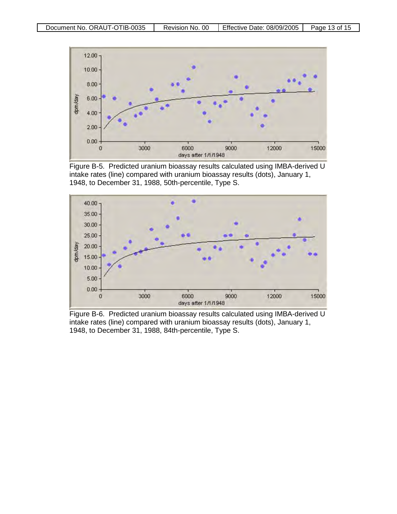

Figure B-5. Predicted uranium bioassay results calculated using IMBA-derived U intake rates (line) compared with uranium bioassay results (dots), January 1, 1948, to December 31, 1988, 50th-percentile, Type S.



Figure B-6. Predicted uranium bioassay results calculated using IMBA-derived U intake rates (line) compared with uranium bioassay results (dots), January 1, 1948, to December 31, 1988, 84th-percentile, Type S.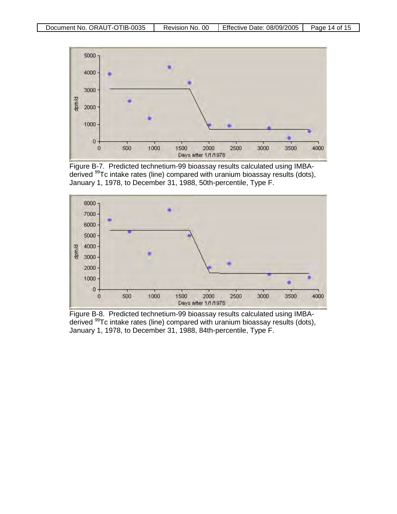

Figure B-7. Predicted technetium-99 bioassay results calculated using IMBAderived 99Tc intake rates (line) compared with uranium bioassay results (dots), January 1, 1978, to December 31, 1988, 50th-percentile, Type F.



Figure B-8. Predicted technetium-99 bioassay results calculated using IMBAderived 99Tc intake rates (line) compared with uranium bioassay results (dots), January 1, 1978, to December 31, 1988, 84th-percentile, Type F.